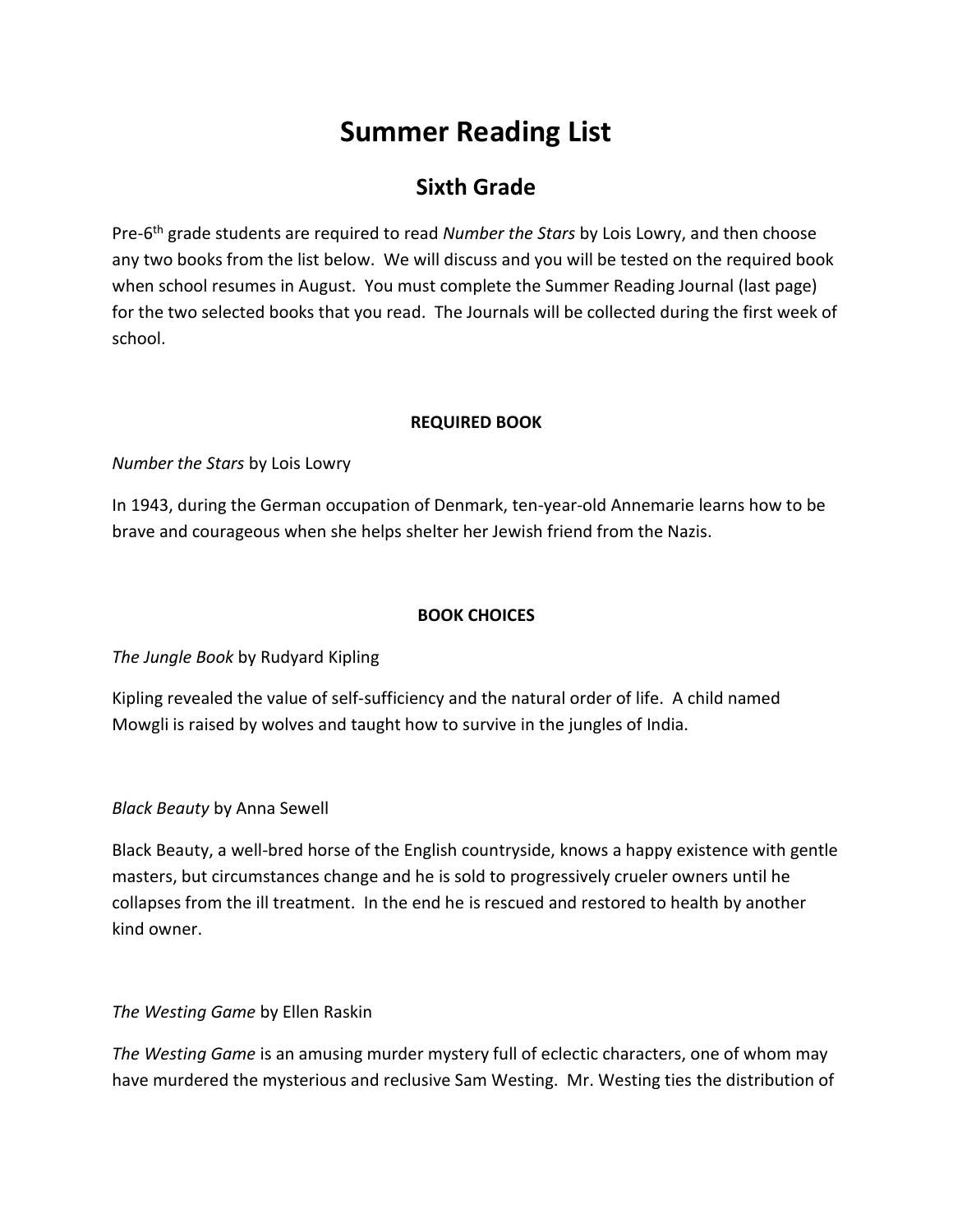## **Summer Reading List**

### **Sixth Grade**

Pre-6 th grade students are required to read *Number the Stars* by Lois Lowry, and then choose any two books from the list below. We will discuss and you will be tested on the required book when school resumes in August. You must complete the Summer Reading Journal (last page) for the two selected books that you read. The Journals will be collected during the first week of school.

#### **REQUIRED BOOK**

*Number the Stars* by Lois Lowry

In 1943, during the German occupation of Denmark, ten-year-old Annemarie learns how to be brave and courageous when she helps shelter her Jewish friend from the Nazis.

#### **BOOK CHOICES**

*The Jungle Book* by Rudyard Kipling

Kipling revealed the value of self-sufficiency and the natural order of life. A child named Mowgli is raised by wolves and taught how to survive in the jungles of India.

#### *Black Beauty* by Anna Sewell

Black Beauty, a well-bred horse of the English countryside, knows a happy existence with gentle masters, but circumstances change and he is sold to progressively crueler owners until he collapses from the ill treatment. In the end he is rescued and restored to health by another kind owner.

*The Westing Game* by Ellen Raskin

*The Westing Game* is an amusing murder mystery full of eclectic characters, one of whom may have murdered the mysterious and reclusive Sam Westing. Mr. Westing ties the distribution of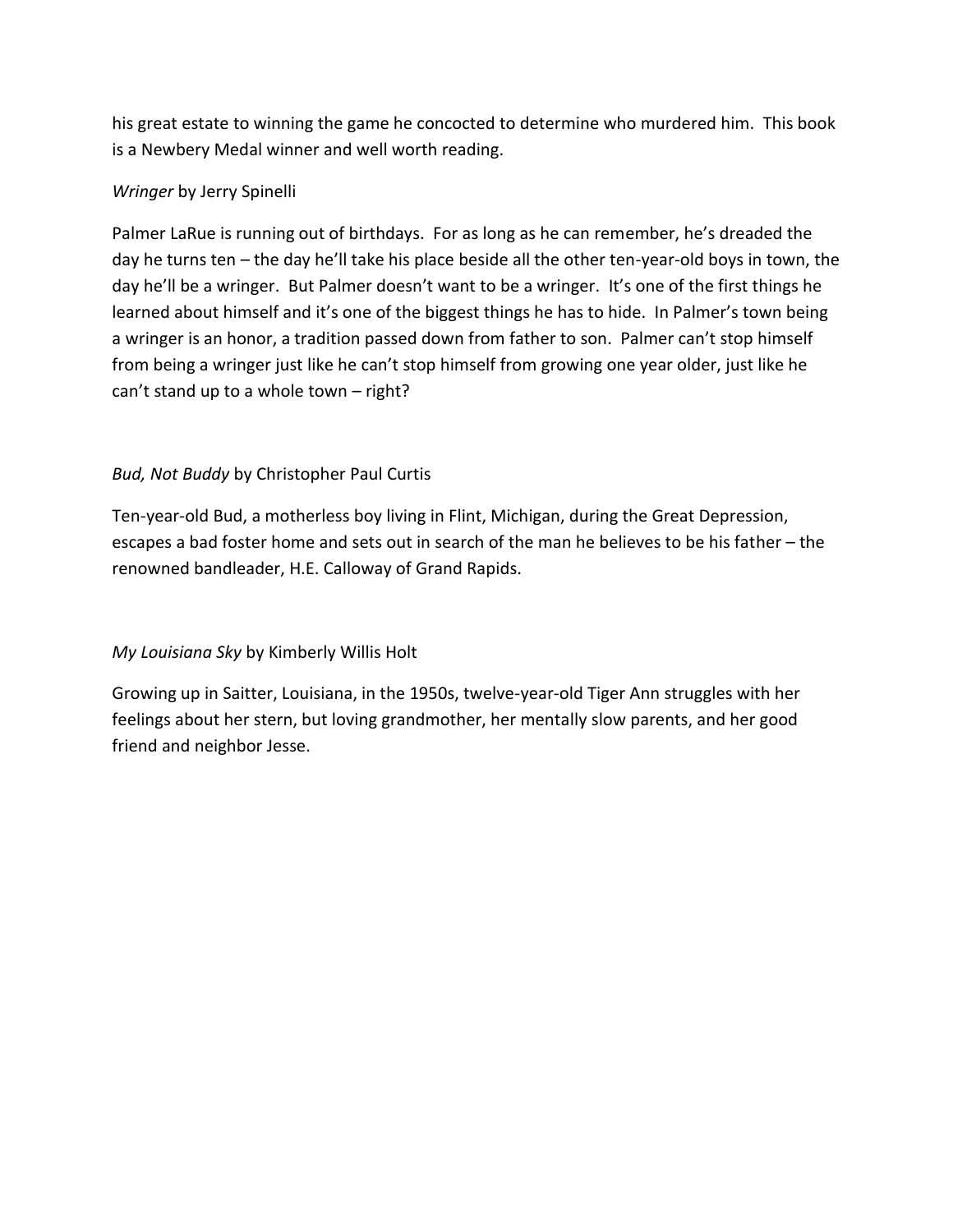his great estate to winning the game he concocted to determine who murdered him. This book is a Newbery Medal winner and well worth reading.

#### *Wringer* by Jerry Spinelli

Palmer LaRue is running out of birthdays. For as long as he can remember, he's dreaded the day he turns ten – the day he'll take his place beside all the other ten-year-old boys in town, the day he'll be a wringer. But Palmer doesn't want to be a wringer. It's one of the first things he learned about himself and it's one of the biggest things he has to hide. In Palmer's town being a wringer is an honor, a tradition passed down from father to son. Palmer can't stop himself from being a wringer just like he can't stop himself from growing one year older, just like he can't stand up to a whole town – right?

#### *Bud, Not Buddy* by Christopher Paul Curtis

Ten-year-old Bud, a motherless boy living in Flint, Michigan, during the Great Depression, escapes a bad foster home and sets out in search of the man he believes to be his father – the renowned bandleader, H.E. Calloway of Grand Rapids.

#### *My Louisiana Sky* by Kimberly Willis Holt

Growing up in Saitter, Louisiana, in the 1950s, twelve-year-old Tiger Ann struggles with her feelings about her stern, but loving grandmother, her mentally slow parents, and her good friend and neighbor Jesse.